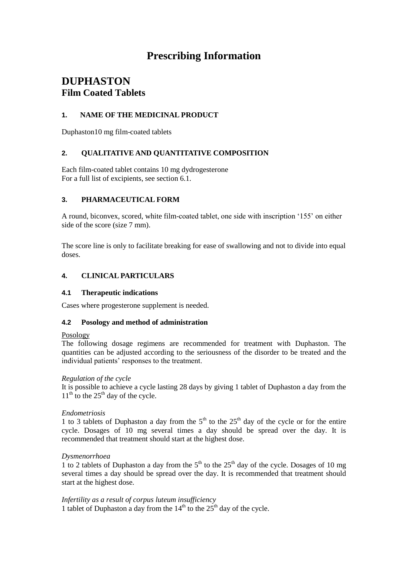# **Prescribing Information**

# **DUPHASTON Film Coated Tablets**

## **1. NAME OF THE MEDICINAL PRODUCT**

Duphaston10 mg film-coated tablets

# **2. QUALITATIVE AND QUANTITATIVE COMPOSITION**

Each film-coated tablet contains 10 mg dydrogesterone For a full list of excipients, see section 6.1.

# **3. PHARMACEUTICAL FORM**

A round, biconvex, scored, white film-coated tablet, one side with inscription '155' on either side of the score (size 7 mm).

The score line is only to facilitate breaking for ease of swallowing and not to divide into equal doses.

## **4. CLINICAL PARTICULARS**

## **4.1 Therapeutic indications**

Cases where progesterone supplement is needed.

## **4.2 Posology and method of administration**

#### Posology

The following dosage regimens are recommended for treatment with Duphaston. The quantities can be adjusted according to the seriousness of the disorder to be treated and the individual patients' responses to the treatment.

## *Regulation of the cycle*

It is possible to achieve a cycle lasting 28 days by giving 1 tablet of Duphaston a day from the  $11<sup>th</sup>$  to the 25<sup>th</sup> day of the cycle.

## *Endometriosis*

1 to 3 tablets of Duphaston a day from the  $5<sup>th</sup>$  to the  $25<sup>th</sup>$  day of the cycle or for the entire cycle. Dosages of 10 mg several times a day should be spread over the day. It is recommended that treatment should start at the highest dose.

#### *Dysmenorrhoea*

1 to 2 tablets of Duphaston a day from the  $5<sup>th</sup>$  to the  $25<sup>th</sup>$  day of the cycle. Dosages of 10 mg several times a day should be spread over the day. It is recommended that treatment should start at the highest dose.

# *Infertility as a result of corpus luteum insufficiency*

1 tablet of Duphaston a day from the  $14<sup>th</sup>$  to the  $25<sup>th</sup>$  day of the cycle.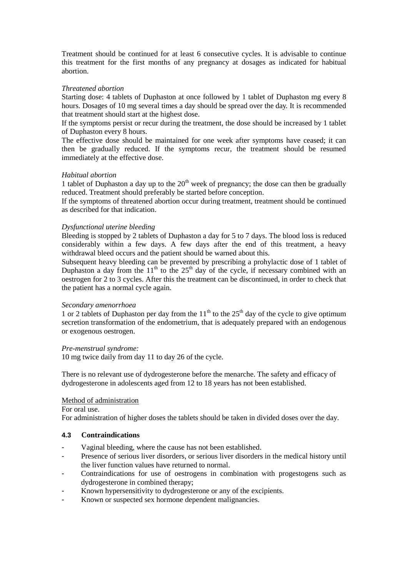Treatment should be continued for at least 6 consecutive cycles. It is advisable to continue this treatment for the first months of any pregnancy at dosages as indicated for habitual abortion.

#### *Threatened abortion*

Starting dose: 4 tablets of Duphaston at once followed by 1 tablet of Duphaston mg every 8 hours. Dosages of 10 mg several times a day should be spread over the day. It is recommended that treatment should start at the highest dose.

If the symptoms persist or recur during the treatment, the dose should be increased by 1 tablet of Duphaston every 8 hours.

The effective dose should be maintained for one week after symptoms have ceased; it can then be gradually reduced. If the symptoms recur, the treatment should be resumed immediately at the effective dose.

#### *Habitual abortion*

1 tablet of Duphaston a day up to the  $20<sup>th</sup>$  week of pregnancy; the dose can then be gradually reduced. Treatment should preferably be started before conception.

If the symptoms of threatened abortion occur during treatment, treatment should be continued as described for that indication.

#### *Dysfunctional uterine bleeding*

Bleeding is stopped by 2 tablets of Duphaston a day for 5 to 7 days. The blood loss is reduced considerably within a few days. A few days after the end of this treatment, a heavy withdrawal bleed occurs and the patient should be warned about this.

Subsequent heavy bleeding can be prevented by prescribing a prohylactic dose of 1 tablet of Duphaston a day from the  $11<sup>th</sup>$  to the  $25<sup>th</sup>$  day of the cycle, if necessary combined with an oestrogen for 2 to 3 cycles. After this the treatment can be discontinued, in order to check that the patient has a normal cycle again.

#### *Secondary amenorrhoea*

1 or 2 tablets of Duphaston per day from the  $11<sup>th</sup>$  to the  $25<sup>th</sup>$  day of the cycle to give optimum secretion transformation of the endometrium, that is adequately prepared with an endogenous or exogenous oestrogen.

#### *Pre-menstrual syndrome:*

10 mg twice daily from day 11 to day 26 of the cycle.

There is no relevant use of dydrogesterone before the menarche. The safety and efficacy of dydrogesterone in adolescents aged from 12 to 18 years has not been established.

#### Method of administration

For oral use.

For administration of higher doses the tablets should be taken in divided doses over the day.

## **4.3 Contraindications**

- Vaginal bleeding, where the cause has not been established.
- Presence of serious liver disorders, or serious liver disorders in the medical history until the liver function values have returned to normal.
- Contraindications for use of oestrogens in combination with progestogens such as dydrogesterone in combined therapy;
- Known hypersensitivity to dydrogesterone or any of the excipients.
- Known or suspected sex hormone dependent malignancies.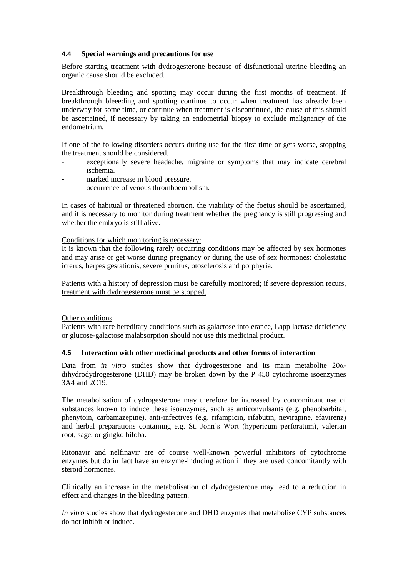## **4.4 Special warnings and precautions for use**

Before starting treatment with dydrogesterone because of disfunctional uterine bleeding an organic cause should be excluded.

Breakthrough bleeding and spotting may occur during the first months of treatment. If breakthrough bleeeding and spotting continue to occur when treatment has already been underway for some time, or continue when treatment is discontinued, the cause of this should be ascertained, if necessary by taking an endometrial biopsy to exclude malignancy of the endometrium.

If one of the following disorders occurs during use for the first time or gets worse, stopping the treatment should be considered.

- exceptionally severe headache, migraine or symptoms that may indicate cerebral ischemia.
- marked increase in blood pressure.
- occurrence of venous thromboembolism.

In cases of habitual or threatened abortion, the viability of the foetus should be ascertained, and it is necessary to monitor during treatment whether the pregnancy is still progressing and whether the embryo is still alive.

#### Conditions for which monitoring is necessary:

It is known that the following rarely occurring conditions may be affected by sex hormones and may arise or get worse during pregnancy or during the use of sex hormones: cholestatic icterus, herpes gestationis, severe pruritus, otosclerosis and porphyria.

Patients with a history of depression must be carefully monitored; if severe depression recurs, treatment with dydrogesterone must be stopped.

## Other conditions

Patients with rare hereditary conditions such as galactose intolerance, Lapp lactase deficiency or glucose-galactose malabsorption should not use this medicinal product.

## **4.5 Interaction with other medicinal products and other forms of interaction**

Data from *in vitro* studies show that dydrogesterone and its main metabolite 20αdihydrodydrogesterone (DHD) may be broken down by the P 450 cytochrome isoenzymes 3A4 and 2C19.

The metabolisation of dydrogesterone may therefore be increased by concomittant use of substances known to induce these isoenzymes, such as anticonvulsants (e.g. phenobarbital, phenytoin, carbamazepine), anti-infectives (e.g. rifampicin, rifabutin, nevirapine, efavirenz) and herbal preparations containing e.g. St. John's Wort (hypericum perforatum), valerian root, sage, or gingko biloba.

Ritonavir and nelfinavir are of course well-known powerful inhibitors of cytochrome enzymes but do in fact have an enzyme-inducing action if they are used concomitantly with steroid hormones.

Clinically an increase in the metabolisation of dydrogesterone may lead to a reduction in effect and changes in the bleeding pattern.

*In vitro* studies show that dydrogesterone and DHD enzymes that metabolise CYP substances do not inhibit or induce.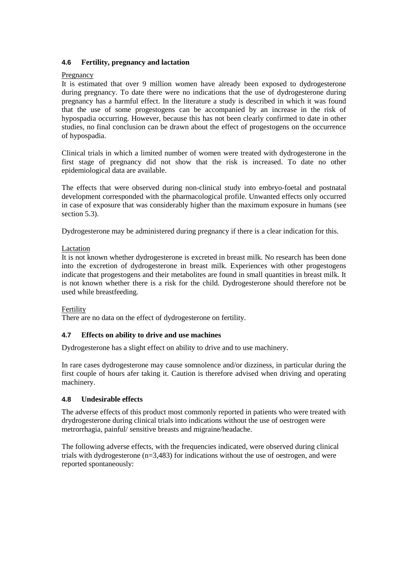## **4.6 Fertility, pregnancy and lactation**

## Pregnancy

It is estimated that over 9 million women have already been exposed to dydrogesterone during pregnancy. To date there were no indications that the use of dydrogesterone during pregnancy has a harmful effect. In the literature a study is described in which it was found that the use of some progestogens can be accompanied by an increase in the risk of hypospadia occurring. However, because this has not been clearly confirmed to date in other studies, no final conclusion can be drawn about the effect of progestogens on the occurrence of hypospadia.

Clinical trials in which a limited number of women were treated with dydrogesterone in the first stage of pregnancy did not show that the risk is increased. To date no other epidemiological data are available.

The effects that were observed during non-clinical study into embryo-foetal and postnatal development corresponded with the pharmacological profile. Unwanted effects only occurred in case of exposure that was considerably higher than the maximum exposure in humans (see section 5.3).

Dydrogesterone may be administered during pregnancy if there is a clear indication for this.

## Lactation

It is not known whether dydrogesterone is excreted in breast milk. No research has been done into the excretion of dydrogesterone in breast milk. Experiences with other progestogens indicate that progestogens and their metabolites are found in small quantities in breast milk. It is not known whether there is a risk for the child. Dydrogesterone should therefore not be used while breastfeeding.

## Fertility

There are no data on the effect of dydrogesterone on fertility.

# **4.7 Effects on ability to drive and use machines**

Dydrogesterone has a slight effect on ability to drive and to use machinery.

In rare cases dydrogesterone may cause somnolence and/or dizziness, in particular during the first couple of hours afer taking it. Caution is therefore advised when driving and operating machinery.

# **4.8 Undesirable effects**

The adverse effects of this product most commonly reported in patients who were treated with drydrogesterone during clinical trials into indications without the use of oestrogen were metrorrhagia, painful/ sensitive breasts and migraine/headache.

The following adverse effects, with the frequencies indicated, were observed during clinical trials with dydrogesterone  $(n=3,483)$  for indications without the use of oestrogen, and were reported spontaneously: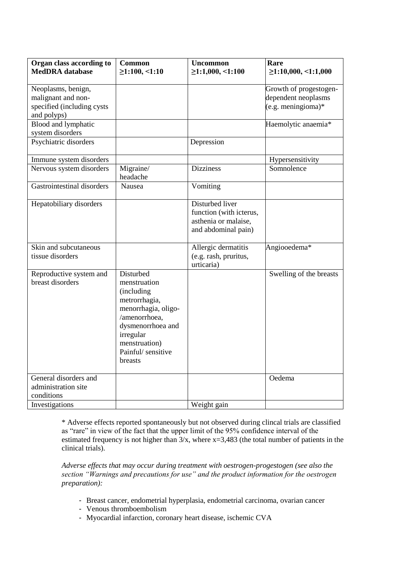| Organ class according to<br><b>MedDRA</b> database                                    | <b>Common</b><br>$\geq$ 1:100, <1:10                                                                                                                                                 | <b>Uncommon</b><br>$\geq$ 1:1,000, <1:100                                                 | Rare<br>$\geq$ 1:10,000, <1:1,000                                     |
|---------------------------------------------------------------------------------------|--------------------------------------------------------------------------------------------------------------------------------------------------------------------------------------|-------------------------------------------------------------------------------------------|-----------------------------------------------------------------------|
| Neoplasms, benign,<br>malignant and non-<br>specified (including cysts<br>and polyps) |                                                                                                                                                                                      |                                                                                           | Growth of progestogen-<br>dependent neoplasms<br>$(e.g.$ meningioma)* |
| Blood and lymphatic<br>system disorders                                               |                                                                                                                                                                                      |                                                                                           | Haemolytic anaemia*                                                   |
| Psychiatric disorders                                                                 |                                                                                                                                                                                      | Depression                                                                                |                                                                       |
| Immune system disorders                                                               |                                                                                                                                                                                      |                                                                                           | Hypersensitivity                                                      |
| Nervous system disorders                                                              | Migraine/<br>headache                                                                                                                                                                | <b>Dizziness</b>                                                                          | Somnolence                                                            |
| Gastrointestinal disorders                                                            | Nausea                                                                                                                                                                               | Vomiting                                                                                  |                                                                       |
| Hepatobiliary disorders                                                               |                                                                                                                                                                                      | Disturbed liver<br>function (with icterus,<br>asthenia or malaise,<br>and abdominal pain) |                                                                       |
| Skin and subcutaneous<br>tissue disorders                                             |                                                                                                                                                                                      | Allergic dermatitis<br>(e.g. rash, pruritus,<br>urticaria)                                | Angiooedema*                                                          |
| Reproductive system and<br>breast disorders                                           | Disturbed<br>menstruation<br>(including<br>metrorrhagia,<br>menorrhagia, oligo-<br>/amenorrhoea,<br>dysmenorrhoea and<br>irregular<br>menstruation)<br>Painful/ sensitive<br>breasts |                                                                                           | Swelling of the breasts                                               |
| General disorders and<br>administration site                                          |                                                                                                                                                                                      |                                                                                           | Oedema                                                                |
| conditions                                                                            |                                                                                                                                                                                      |                                                                                           |                                                                       |
| Investigations                                                                        |                                                                                                                                                                                      | Weight gain                                                                               |                                                                       |

\* Adverse effects reported spontaneously but not observed during clincal trials are classified as "rare" in view of the fact that the upper limit of the 95% confidence interval of the estimated frequency is not higher than  $3/x$ , where  $x=3,483$  (the total number of patients in the clinical trials).

*Adverse effects that may occur during treatment with oestrogen-progestogen (see also the section "Warnings and precautions for use" and the product information for the oestrogen preparation):*

- Breast cancer, endometrial hyperplasia, endometrial carcinoma, ovarian cancer
- Venous thromboembolism
- Myocardial infarction, coronary heart disease, ischemic CVA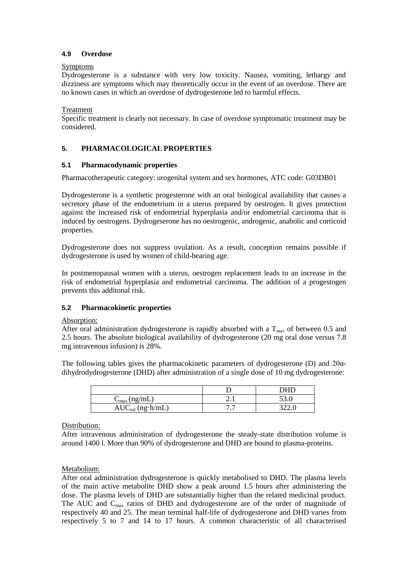## **4.9 Overdose**

# Symptoms

Dydrogesterone is a substance with very low toxicity. Nausea, vomiting, lethargy and dizziness are symptoms which may theoretically occur in the event of an overdose. There are no known cases in which an overdose of dydrogesterone led to harmful effects.

## Treatment

Specific treatment is clearly not necessary. In case of overdose symptomatic treatment may be considered.

## **5. PHARMACOLOGICAL PROPERTIES**

## **5.1 Pharmacodynamic properties**

Pharmacotherapeutic category: urogenital system and sex hormones, ATC code: G03DB01

Dydrogesterone is a synthetic progesterone with an oral biological availability that causes a secretory phase of the endometrium in a uterus prepared by oestrogen. It gives protection against the increased risk of endometrial hyperplasia and/or endometrial carcinoma that is induced by oestrogens. Dydrogeserone has no oestrogenic, androgenic, anabolic and corticoid properties.

Dydrogesterone does not suppress ovulation. As a result, conception remains possible if dydrogesterone is used by women of child-bearing age.

In postmenopausal women with a uterus, oestrogen replacement leads to an increase in the risk of endometrial hyperplasia and endometrial carcinoma. The addition of a progestogen prevents this additonal risk.

## **5.2 Pharmacokinetic properties**

Absorption:

After oral administration dydrogesterone is rapidly absorbed with a  $T_{\text{max}}$  of between 0.5 and 2.5 hours. The absolute biological availability of dydrogesterone (20 mg oral dose versus 7.8 mg intravenous infusion) is 28%.

The following tables gives the pharmacokinetic parameters of dydrogesterone (D) and  $20\alpha$ dihydrodydrogesterone (DHD) after administration of a single dose of 10 mg dydrogesterone:

|                          |         | . чн. |
|--------------------------|---------|-------|
| $C_{\text{max}}$ (ng/mL) | 2. l    |       |
| $AUC_{inf}$ (ng·h/mL)    | __<br>. |       |

#### Distribution:

After intravenous administration of dydrogesterone the steady-state distribution volume is around 1400 l. More than 90% of dydrogesterone and DHD are bound to plasma-proteins.

## Metabolism:

After oral administration dydrogesterone is quickly metabolised to DHD. The plasma levels of the main active metabolite DHD show a peak around 1.5 hours after administering the dose. The plasma levels of DHD are substantially higher than the related medicinal product. The AUC and  $C_{\text{max}}$  ratios of DHD and dydrogesterone are of the order of magnitude of respectively 40 and 25. The mean terminal half-life of dydrogesterone and DHD varies from respectively 5 to 7 and 14 to 17 hours. A common characteristic of all characterised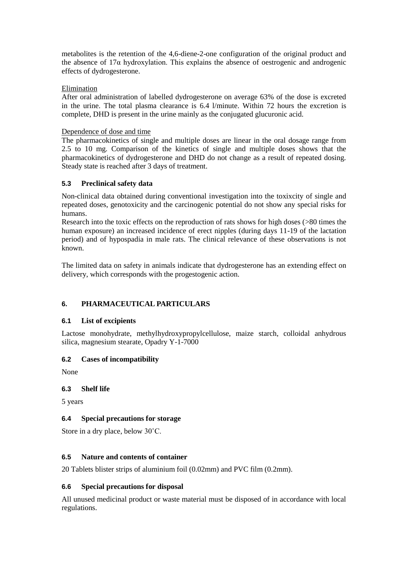metabolites is the retention of the 4,6-diene-2-one configuration of the original product and the absence of  $17\alpha$  hydroxylation. This explains the absence of oestrogenic and androgenic effects of dydrogesterone.

## Elimination

After oral administration of labelled dydrogesterone on average 63% of the dose is excreted in the urine. The total plasma clearance is 6.4 l/minute. Within 72 hours the excretion is complete, DHD is present in the urine mainly as the conjugated glucuronic acid.

## Dependence of dose and time

The pharmacokinetics of single and multiple doses are linear in the oral dosage range from 2.5 to 10 mg. Comparison of the kinetics of single and multiple doses shows that the pharmacokinetics of dydrogesterone and DHD do not change as a result of repeated dosing. Steady state is reached after 3 days of treatment.

## **5.3 Preclinical safety data**

Non-clinical data obtained during conventional investigation into the toxixcity of single and repeated doses, genotoxicity and the carcinogenic potential do not show any special risks for humans.

Research into the toxic effects on the reproduction of rats shows for high doses (>80 times the human exposure) an increased incidence of erect nipples (during days 11-19 of the lactation period) and of hypospadia in male rats. The clinical relevance of these observations is not known.

The limited data on safety in animals indicate that dydrogesterone has an extending effect on delivery, which corresponds with the progestogenic action.

# **6. PHARMACEUTICAL PARTICULARS**

## **6.1 List of excipients**

Lactose monohydrate, methylhydroxypropylcellulose, maize starch, colloidal anhydrous silica, magnesium stearate, Opadry Y-1-7000

## **6.2 Cases of incompatibility**

None

## **6.3 Shelf life**

5 years

# **6.4 Special precautions for storage**

Store in a dry place, below 30˚C.

## **6.5 Nature and contents of container**

20 Tablets blister strips of aluminium foil (0.02mm) and PVC film (0.2mm).

## **6.6 Special precautions for disposal**

All unused medicinal product or waste material must be disposed of in accordance with local regulations.